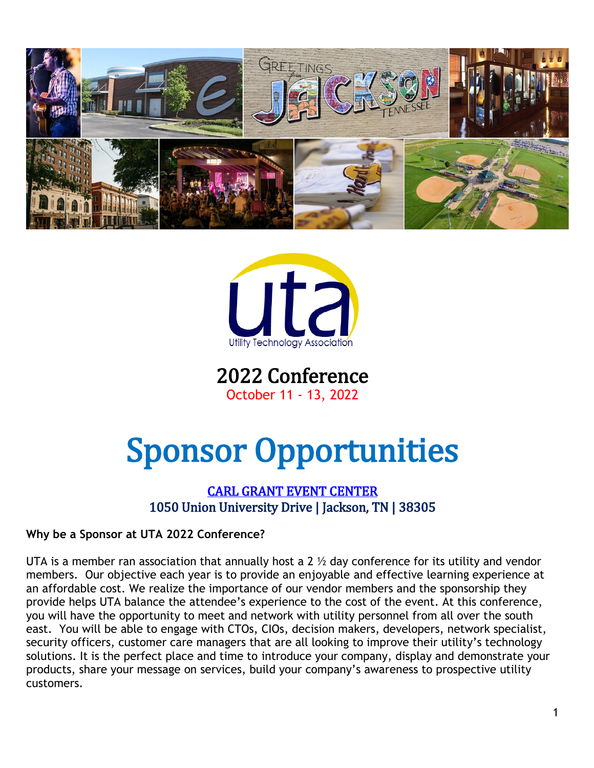



2022 Conference October 11 - 13, 2022

# Sponsor Opportunities

# [CARL GRANT EVENT CENTER](https://www.uu.edu/grantcenter/)  1050 Union University Drive | Jackson, TN | 38305

## **Why be a Sponsor at UTA 2022 Conference?**

UTA is a member ran association that annually host a 2  $\frac{1}{2}$  day conference for its utility and vendor members. Our objective each year is to provide an enjoyable and effective learning experience at an affordable cost. We realize the importance of our vendor members and the sponsorship they provide helps UTA balance the attendee's experience to the cost of the event. At this conference, you will have the opportunity to meet and network with utility personnel from all over the south east. You will be able to engage with CTOs, CIOs, decision makers, developers, network specialist, security officers, customer care managers that are all looking to improve their utility's technology solutions. It is the perfect place and time to introduce your company, display and demonstrate your products, share your message on services, build your company's awareness to prospective utility customers.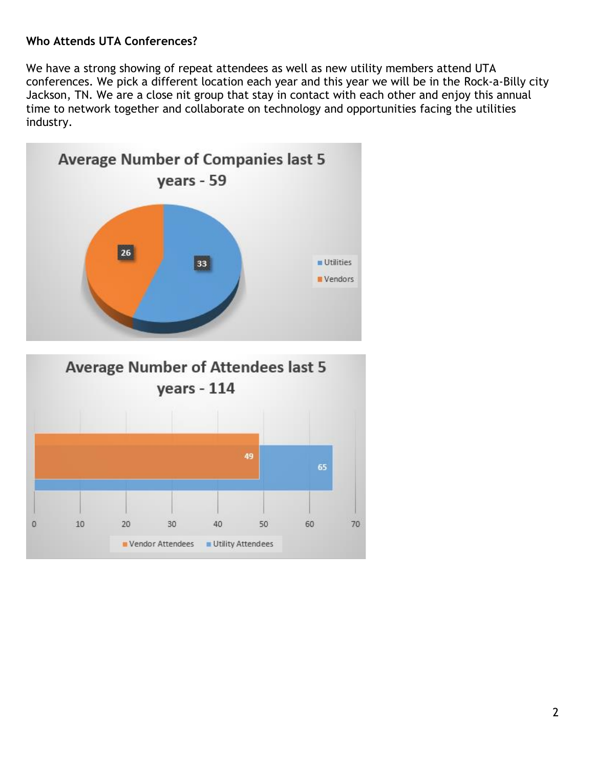### **Who Attends UTA Conferences?**

We have a strong showing of repeat attendees as well as new utility members attend UTA conferences. We pick a different location each year and this year we will be in the Rock-a-Billy city Jackson, TN. We are a close nit group that stay in contact with each other and enjoy this annual time to network together and collaborate on technology and opportunities facing the utilities industry.

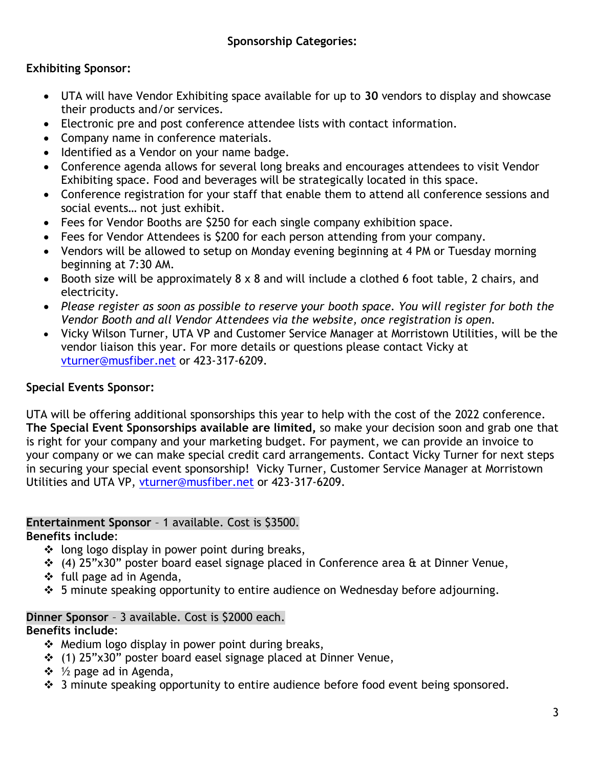# **Exhibiting Sponsor:**

- UTA will have Vendor Exhibiting space available for up to **30** vendors to display and showcase their products and/or services.
- Electronic pre and post conference attendee lists with contact information.
- Company name in conference materials.
- Identified as a Vendor on your name badge.
- Conference agenda allows for several long breaks and encourages attendees to visit Vendor Exhibiting space. Food and beverages will be strategically located in this space.
- Conference registration for your staff that enable them to attend all conference sessions and social events… not just exhibit.
- Fees for Vendor Booths are \$250 for each single company exhibition space.
- Fees for Vendor Attendees is \$200 for each person attending from your company.
- Vendors will be allowed to setup on Monday evening beginning at 4 PM or Tuesday morning beginning at 7:30 AM.
- Booth size will be approximately 8 x 8 and will include a clothed 6 foot table, 2 chairs, and electricity.
- *Please register as soon as possible to reserve your booth space. You will register for both the Vendor Booth and all Vendor Attendees via the website, once registration is open.*
- Vicky Wilson Turner, UTA VP and Customer Service Manager at Morristown Utilities, will be the vendor liaison this year. For more details or questions please contact Vicky at [vturner@musfiber.net](mailto:vturner@musfiber.net) or 423-317-6209.

# **Special Events Sponsor:**

UTA will be offering additional sponsorships this year to help with the cost of the 2022 conference. **The Special Event Sponsorships available are limited,** so make your decision soon and grab one that is right for your company and your marketing budget. For payment, we can provide an invoice to your company or we can make special credit card arrangements. Contact Vicky Turner for next steps in securing your special event sponsorship! Vicky Turner, Customer Service Manager at Morristown Utilities and UTA VP, [vturner@musfiber.net](mailto:vturner@musfiber.net) or 423-317-6209.

# **Entertainment Sponsor** – 1 available. Cost is \$3500.

**Benefits include**:

- $\div$  long logo display in power point during breaks,
- (4) 25"x30" poster board easel signage placed in Conference area & at Dinner Venue,
- $\div$  full page ad in Agenda,
- 5 minute speaking opportunity to entire audience on Wednesday before adjourning.

#### **Dinner Sponsor** – 3 available. Cost is \$2000 each. **Benefits include**:

- $\triangleq$  Medium logo display in power point during breaks,
- (1) 25"x30" poster board easel signage placed at Dinner Venue,
- $\div$  1/<sub>2</sub> page ad in Agenda,
- $\div$  3 minute speaking opportunity to entire audience before food event being sponsored.